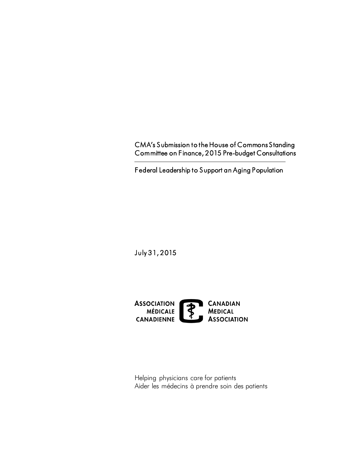CMA's Submission to the House of Commons Standing Committee on Finance, 2015 Pre-budget Consultations

Federal Leadership to Support an Aging Population

July 31, 2015



 Helping physicians care for patients Aider les médecins à prendre soin des patients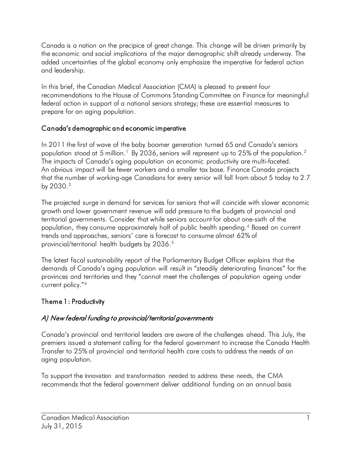Canada is a nation on the precipice of great change. This change will be driven primarily by the economic and social implications of the major demographic shift already underway. The added uncertainties of the global economy only emphasize the imperative for federal action and leadership.

 In this brief, the Canadian Medical Association (CMA) is pleased to present four recommendations to the House of Commons Standing Committee on Finance for meaningful federal action in support of a national seniors strategy; these are essential measures to prepare for an aging population.

### Canada's demographic and economic imperative

 In 2011 the first of wave of the baby boomer generation turned 65 and Canada's seniors population stood at 5 million.<sup>[1](#page-6-0)</sup> By 2036, seniors will represent up to 25% of the population.<sup>2</sup> The impacts of Canada's aging population on economic productivity are multi-faceted. An obvious impact will be fewer workers and a smaller tax base. Finance Canada projects that the number of working-age Canadians for every senior will fall from about 5 today to 2.7 by  $2030.<sup>3</sup>$  $2030.<sup>3</sup>$  $2030.<sup>3</sup>$ 

 growth and lower government revenue will add pressure to the budgets of provincial and population, they consume approximately half of public health spending.[4](#page-6-3) Based on current trends and approaches, seniors' care is forecast to consume almost 62% of The projected surge in demand for services for seniors that will coincide with slower economic territorial governments. Consider that while seniors account for about one-sixth of the provincial/territorial health budgets by 2036.<sup>5</sup>

 demands of Canada's aging population will result in "steadily deteriorating finances" for the provinces and territories and they "cannot meet the challenges of population ageing under The latest fiscal sustainability report of the Parliamentary Budget Officer explains that the current policy."[6](#page-6-5)

# Theme 1 : Productivity

# A) New federal funding to provincial/territorial governments

 Canada's provincial and territorial leaders are aware of the challenges ahead. This July, the premiers issued a statement calling for the federal government to increase the Canada Health Transfer to 25% of provincial and territorial health care costs to address the needs of an aging population.

 To support the innovation and transformation needed to address these needs, the CMA recommends that the federal government deliver additional funding on an annual basis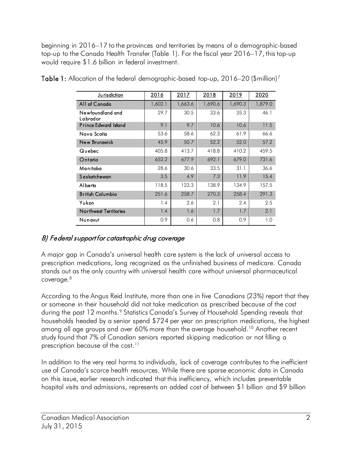beginning in 2016–17 to the provinces and territories by means of a demographic-based top-up to the Canada Health Transfer (Table 1). For the fiscal year 2016–17, this top-up would require \$1.6 billion in federal investment.

| <u>Jurisdiction</u>          | 2016    | 2017    | 2018    | 2019    | 2020    |
|------------------------------|---------|---------|---------|---------|---------|
| All of Canada                | 1,602.1 | 1,663.6 | 1,690.6 | 1,690.3 | 1,879.0 |
| Newfoundland and<br>Labrador | 29.7    | 30.5    | 33.6    | 35.3    | 46.1    |
| <b>Prince Edward Island</b>  | 9.1     | 9.7     | 10.6    | 10.6    | 11.5    |
| Nova Scotia                  | 53.6    | 58.6    | 62.3    | 61.9    | 66.6    |
| New Brunswick                | 45.9    | 50.7    | 52.2    | 52.0    | 57.2    |
| Quebec                       | 405.8   | 413.7   | 418.8   | 410.2   | 459.5   |
| Ontario                      | 652.2   | 677.9   | 692.1   | 679.0   | 731.6   |
| Manitoba                     | 28.6    | 30.6    | 33.5    | 31.1    | 36.6    |
| Saskatchewan                 | 3.5     | 4.9     | 7.3     | 11.9    | 15.4    |
| Alberta                      | 118.5   | 123.3   | 138.9   | 134.9   | 157.5   |
| <b>British Columbia</b>      | 251.6   | 258.7   | 270.3   | 258.4   | 291.3   |
| Yukon                        | 1.4     | 2.6     | 2.1     | 2.4     | 2.5     |
| <b>Northwest Territories</b> | 1.4     | 1.6     | 1.7     | 1.7     | 2.1     |
| Nunavut                      | 0.9     | 0.6     | 0.8     | 0.9     | 1.0     |

**Table 1:** Allocation of the federal demographic-based top-up, 2016–20 (\$million)<sup>[7](#page-6-6)</sup>

# B) Federal support for catastrophic drug coverage

 A major gap in Canada's universal health care system is the lack of universal access to prescription medications, long recognized as the unfinished business of medicare. Canada stands out as the only country with universal health care without universal pharmaceutical coverage.<sup>8</sup>

 or someone in their household did not take medication as prescribed because of the cost during the past 12 months.<sup>[9](#page-6-8)</sup> Statistics Canada's Survey of Household Spending reveals that households headed by a senior spend \$724 per year on prescription medications, the highest among all age groups and over 60% more than the average household. $^{10}$  Another recent study found that 7% of Canadian seniors reported skipping medication or not filling a prescription because of the cost.<sup>[11](#page-6-10)</sup> According to the Angus Reid Institute, more than one in five Canadians (23%) report that they

 In addition to the very real harms to individuals, lack of coverage contributes to the inefficient use of Canada's scarce health resources. While there are sparse economic data in Canada on this issue, earlier research indicated that this inefficiency, which includes preventable hospital visits and admissions, represents an added cost of between \$1 billion and \$9 billion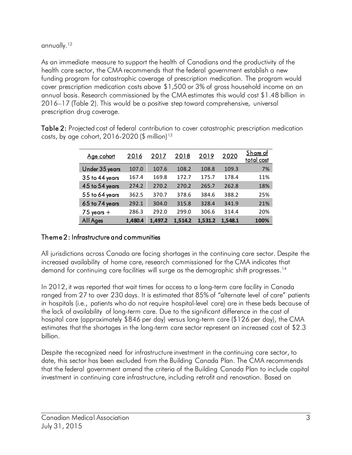annually. <sup>12</sup>

 As an immediate measure to support the health of Canadians and the productivity of the health care sector, the CMA recommends that the federal government establish a new funding program for catastrophic coverage of prescription medication. The program would cover prescription medication costs above \$1,500 or 3% of gross household income on an annual basis. Research commissioned by the CMA estimates this would cost \$1.48 billion in 2016–17 (Table 2). This would be a positive step toward comprehensive, universal prescription drug coverage.

| Age cohort         | 2016    | 2017    | 2018    | 2019    | 2020    | Share of<br>total cost |
|--------------------|---------|---------|---------|---------|---------|------------------------|
| Under 35 years     | 107.0   | 107.6   | 108.2   | 108.8   | 109.3   | 7%                     |
| 35 to 44 years     | 167.4   | 169.8   | 172.7   | 175.7   | 178.4   | 11%                    |
| $45$ to $54$ years | 274.2   | 270.2   | 270.2   | 265.7   | 262.8   | 18%                    |
| 55 to 64 years     | 362.5   | 370.7   | 378.6   | 384.6   | 388.2   | 25%                    |
| 65 to 74 years     | 292.1   | 304.0   | 315.8   | 328.4   | 341.9   | 21%                    |
| $75$ years $+$     | 286.3   | 292.0   | 299.0   | 306.6   | 314.4   | 20%                    |
| All Ages           | 1.480.4 | 1.497.2 | 1.514.2 | 1.531.2 | 1,548.1 | 100%                   |

Table 2: Projected cost of federal contribution to cover catastrophic prescription medication costs, by age cohort, 2016-2020  $(\$$  million)<sup>13</sup>

# Theme 2 : Infrastructure and communities

demand for continuing care facilities will surge as the demographic shift progresses.<sup>[14](#page-6-13)</sup> All jurisdictions across Canada are facing shortages in the continuing care sector. Despite the increased availability of home care, research commissioned for the CMA indicates that

 In 2012, it was reported that wait times for access to a long-term care facility in Canada ranged from 27 to over 230 days. It is estimated that 85% of "alternate level of care" patients the lack of availability of long-term care. Due to the significant difference in the cost of estimates that the shortages in the long-term care sector represent an increased cost of \$2.3 in hospitals (i.e., patients who do not require hospital-level care) are in these beds because of hospital care (approximately \$846 per day) versus long-term care (\$126 per day), the CMA billion.

 Despite the recognized need for infrastructure investment in the continuing care sector, to date, this sector has been excluded from the Building Canada Plan. The CMA recommends that the federal government amend the criteria of the Building Canada Plan to include capital investment in continuing care infrastructure, including retrofit and renovation. Based on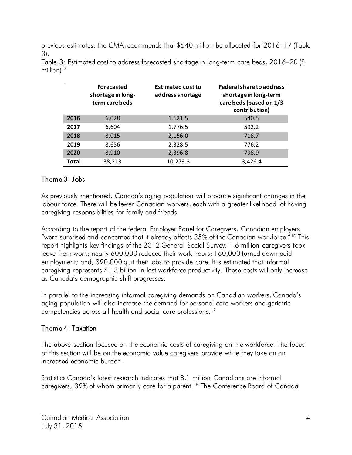previous estimates, the CMA recommends that \$540 million be allocated for 2016–17 (Table 3).

|       | Forecasted<br>shortage in long-<br>term care beds | <b>Estimated cost to</b><br>address shortage | <b>Federal share to address</b><br>shortage in long-term<br>care beds (based on 1/3<br>contribution) |
|-------|---------------------------------------------------|----------------------------------------------|------------------------------------------------------------------------------------------------------|
| 2016  | 6,028                                             | 1,621.5                                      | 540.5                                                                                                |
| 2017  | 6,604                                             | 1,776.5                                      | 592.2                                                                                                |
| 2018  | 8,015                                             | 2,156.0                                      | 718.7                                                                                                |
| 2019  | 8,656                                             | 2,328.5                                      | 776.2                                                                                                |
| 2020  | 8,910                                             | 2,396.8                                      | 798.9                                                                                                |
| Total | 38,213                                            | 10,279.3                                     | 3,426.4                                                                                              |

 Table 3: Estimated cost to address forecasted shortage in long-term care beds, 2016–20 (\$ million) $15$ 

### Theme 3 : Jobs

 As previously mentioned, Canada's aging population will produce significant changes in the labour force. There will be fewer Canadian workers, each with a greater likelihood of having caregiving responsibilities for family and friends.

 According to the report of the federal Employer Panel for Caregivers, Canadian employers "were surprised and concerned that it already affects 35% of the Canadian workforce."[16](#page-6-15) This report highlights key findings of the 2012 General Social Survey: 1.6 million caregivers took leave from work; nearly 600,000 reduced their work hours; 160,000 turned down paid employment; and, 390,000 quit their jobs to provide care. It is estimated that informal caregiving represents \$1.3 billion in lost workforce productivity. These costs will only increase as Canada's demographic shift progresses.

competencies across all health and social care professions.<sup>[17](#page-6-16)</sup> In parallel to the increasing informal caregiving demands on Canadian workers, Canada's aging population will also increase the demand for personal care workers and geriatric

### Theme 4 : Taxation

The above section focused on the economic costs of caregiving on the workforce. The focus of this section will be on the economic value caregivers provide while they take on an increased economic burden.

 Statistics Canada's latest research indicates that 8.1 million Canadians are informal caregivers, 39% of whom primarily care for a parent.<sup>18</sup> The Conference Board of Canada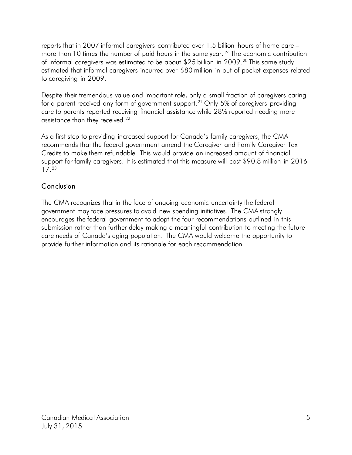reports that in 2007 informal caregivers contributed over 1.5 billion hours of home care – more than 10 times the number of paid hours in the same year.<sup>19</sup> The economic contribution of informal caregivers was estimated to be about \$25 billion in [20](#page-6-19)09.<sup>20</sup> This same study estimated that informal caregivers incurred over \$80 million in out-of-pocket expenses related to caregiving in 2009.

for a parent received any form of government support.<sup>21</sup> Only 5% of caregivers providing assistance than they received.<sup>[22](#page-6-19)</sup> Despite their tremendous value and important role, only a small fraction of caregivers caring care to parents reported receiving financial assistance while 28% reported needing more

 As a first step to providing increased support for Canada's family caregivers, the CMA recommends that the federal government amend the Caregiver and Family Caregiver Tax Credits to make them refundable. This would provide an increased amount of financial 17.[23](#page-6-19) support for family caregivers. It is estimated that this measure will cost \$90.8 million in 2016–

# Conclusion

 The CMA recognizes that in the face of ongoing economic uncertainty the federal government may face pressures to avoid new spending initiatives. The CMA strongly encourages the federal government to adopt the four recommendations outlined in this submission rather than further delay making a meaningful contribution to meeting the future care needs of Canada's aging population. The CMA would welcome the opportunity to provide further information and its rationale for each recommendation.